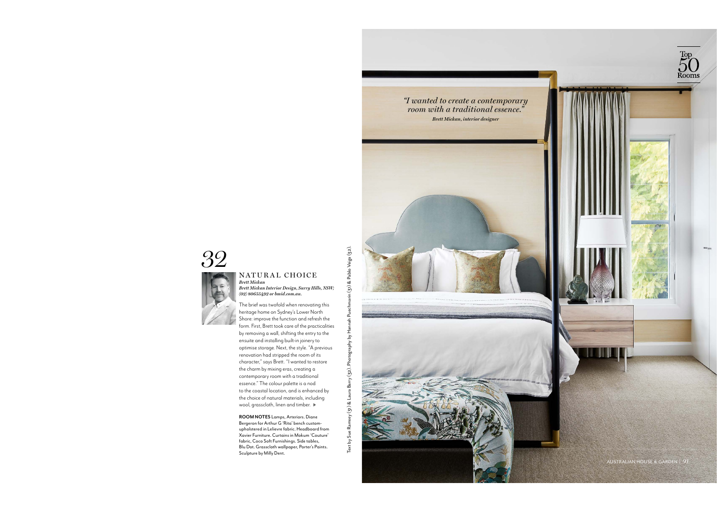

## NATURAL CHOICE *Brett Mickan*

*Brett Mickan Interior Design, Surry Hills, NSW; (02) 80655492 or bmid.com.au.*

The brief was twofold when renovating this heritage home on Sydney's Lower North Shore: improve the function and refresh the form. First, Brett took care of the practicalities by removin<sup>g</sup> <sup>a</sup> wall, shifting the entry to the ensuite and installing built-in joinery to <sup>o</sup>ptimise storage. Next, the style. "A previous renovation had stripped the room of its character," says Brett. "I wanted to restore the charm by mixing eras, creatin<sup>g</sup> <sup>a</sup> contempora<sup>r</sup>y room with a traditional essence." The colour palette is a nod to the coastal location, and is enhanced b<sup>y</sup> the choice of natural materials, includin<sup>g</sup> wool, grasscloth, linen and timber.  $\blacktriangleright$  $SO_{\textrm{2}}$ <br>  $SO_{\textrm{2}}$ <br>  $MATUR AL CHOICE E  
\n**Part Middown** *interior Debigus*, *Surcept plus*, *ISS*  
\n*not also asos54,92 as integ*, *SSN*  
\n*not also asos54,92 as integ*, *SSN*  
\n*not also asos54,92 as integ*, *SSN*  
\n<$ 

**ROOM NOTES** Lamps, Arteriors. Diane Bergeron for Arthur G 'Rita' bench custom<sup>u</sup>pholstered in Lelievre fabric. Headboard from Xavier Furniture. Curtains in Mokum 'Couture' fabric, Coco Soft Furnishings. Side tables, Blu Dot. Grasscloth wallpaper, Porter's Paints. Sculpture by Milly Dent.